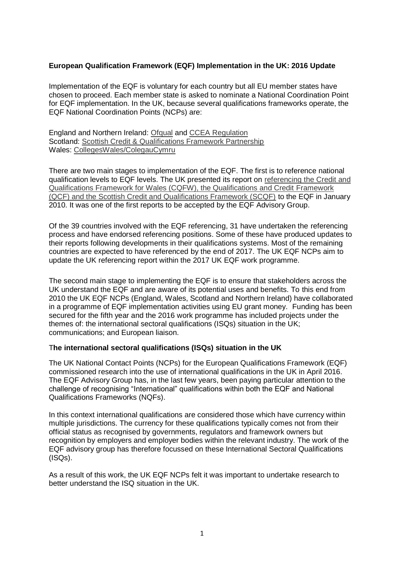# **European Qualification Framework (EQF) Implementation in the UK: 2016 Update**

Implementation of the EQF is voluntary for each country but all EU member states have chosen to proceed. Each member state is asked to nominate a National Coordination Point for EQF implementation. In the UK, because several qualifications frameworks operate, the EQF National Coordination Points (NCPs) are:

England and Northern Ireland: [Ofqual](https://www.gov.uk/government/organisations/ofqual) and [CCEA Regulation](http://ccea.org.uk/accreditation) Scotland: [Scottish Credit & Qualifications Framework Partnership](http://scqf.org.uk/) Wales: [CollegesWales/ColegauCymru](http://www.collegeswales.ac.uk/)

There are two main stages to implementation of the EQF. The first is to reference national qualification levels to EQF levels. The UK presented its report on [referencing the Credit and](http://ccea.org.uk/sites/default/files/docs/accreditation/european/eqf/Report%20on%20referencing%20the%20UK%20Qualifications%20Frameworks.pdf)  [Qualifications Framework for Wales \(CQFW\), the Qualifications and Credit](http://ccea.org.uk/sites/default/files/docs/accreditation/european/eqf/Report%20on%20referencing%20the%20UK%20Qualifications%20Frameworks.pdf) Framework [\(QCF\) and the Scottish Credit and Qualifications Framework \(SCQF\)](http://ccea.org.uk/sites/default/files/docs/accreditation/european/eqf/Report%20on%20referencing%20the%20UK%20Qualifications%20Frameworks.pdf) to the EQF in January 2010. It was one of the first reports to be accepted by the EQF Advisory Group.

Of the 39 countries involved with the EQF referencing, 31 have undertaken the referencing process and have endorsed referencing positions. Some of these have produced updates to their reports following developments in their qualifications systems. Most of the remaining countries are expected to have referenced by the end of 2017. The UK EQF NCPs aim to update the UK referencing report within the 2017 UK EQF work programme.

The second main stage to implementing the EQF is to ensure that stakeholders across the UK understand the EQF and are aware of its potential uses and benefits. To this end from 2010 the UK EQF NCPs (England, Wales, Scotland and Northern Ireland) have collaborated in a programme of EQF implementation activities using EU grant money. Funding has been secured for the fifth year and the 2016 work programme has included projects under the themes of: the international sectoral qualifications (ISQs) situation in the UK; communications; and European liaison.

## T**he international sectoral qualifications (ISQs) situation in the UK**

The UK National Contact Points (NCPs) for the European Qualifications Framework (EQF) commissioned research into the use of international qualifications in the UK in April 2016. The EQF Advisory Group has, in the last few years, been paying particular attention to the challenge of recognising "International" qualifications within both the EQF and National Qualifications Frameworks (NQFs).

In this context international qualifications are considered those which have currency within multiple jurisdictions. The currency for these qualifications typically comes not from their official status as recognised by governments, regulators and framework owners but recognition by employers and employer bodies within the relevant industry. The work of the EQF advisory group has therefore focussed on these International Sectoral Qualifications (ISQs).

As a result of this work, the UK EQF NCPs felt it was important to undertake research to better understand the ISQ situation in the UK.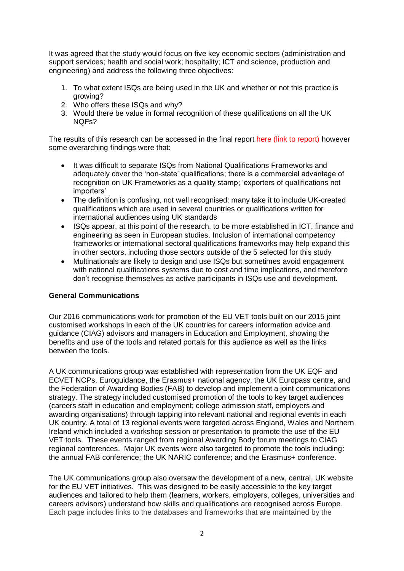It was agreed that the study would focus on five key economic sectors (administration and support services; health and social work; hospitality; ICT and science, production and engineering) and address the following three objectives:

- 1. To what extent ISQs are being used in the UK and whether or not this practice is growing?
- 2. Who offers these ISQs and why?
- 3. Would there be value in formal recognition of these qualifications on all the UK NQFs?

The results of this research can be accessed in the final report here (link to report) however some overarching findings were that:

- It was difficult to separate ISQs from National Qualifications Frameworks and adequately cover the 'non-state' qualifications; there is a commercial advantage of recognition on UK Frameworks as a quality stamp; 'exporters of qualifications not importers'
- The definition is confusing, not well recognised: many take it to include UK-created qualifications which are used in several countries or qualifications written for international audiences using UK standards
- ISQs appear, at this point of the research, to be more established in ICT, finance and engineering as seen in European studies. Inclusion of international competency frameworks or international sectoral qualifications frameworks may help expand this in other sectors, including those sectors outside of the 5 selected for this study
- Multinationals are likely to design and use ISQs but sometimes avoid engagement with national qualifications systems due to cost and time implications, and therefore don't recognise themselves as active participants in ISQs use and development.

## **General Communications**

Our 2016 communications work for promotion of the EU VET tools built on our 2015 joint customised workshops in each of the UK countries for careers information advice and guidance (CIAG) advisors and managers in Education and Employment, showing the benefits and use of the tools and related portals for this audience as well as the links between the tools.

A UK communications group was established with representation from the UK EQF and ECVET NCPs, Euroguidance, the Erasmus+ national agency, the UK Europass centre, and the Federation of Awarding Bodies (FAB) to develop and implement a joint communications strategy. The strategy included customised promotion of the tools to key target audiences (careers staff in education and employment; college admission staff, employers and awarding organisations) through tapping into relevant national and regional events in each UK country. A total of 13 regional events were targeted across England, Wales and Northern Ireland which included a workshop session or presentation to promote the use of the EU VET tools. These events ranged from regional Awarding Body forum meetings to CIAG regional conferences. Major UK events were also targeted to promote the tools including: the annual FAB conference; the UK NARIC conference; and the Erasmus+ conference.

The UK communications group also oversaw the development of a new, central, UK website for the EU VET initiatives. This was designed to be easily accessible to the key target audiences and tailored to help them (learners, workers, employers, colleges, universities and careers advisors) understand how skills and qualifications are recognised across Europe. Each page includes links to the databases and frameworks that are maintained by the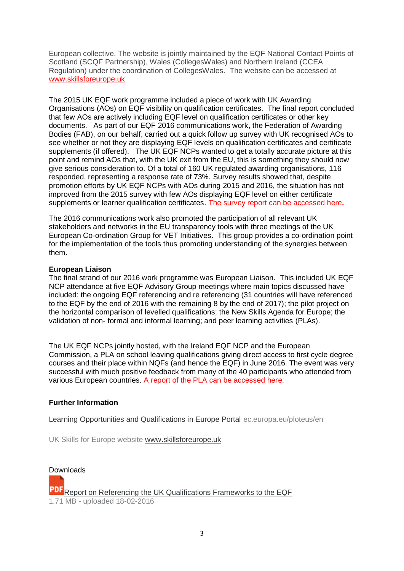European collective. The website is jointly maintained by the EQF National Contact Points of Scotland (SCQF Partnership), Wales (CollegesWales) and Northern Ireland (CCEA Regulation) under the coordination of CollegesWales. The website can be accessed at [www.skillsforeurope.uk](http://www.skillsforeurope.uk/)

The 2015 UK EQF work programme included a piece of work with UK Awarding Organisations (AOs) on EQF visibility on qualification certificates. The final report concluded that few AOs are actively including EQF level on qualification certificates or other key documents. As part of our EQF 2016 communications work, the Federation of Awarding Bodies (FAB), on our behalf, carried out a quick follow up survey with UK recognised AOs to see whether or not they are displaying EQF levels on qualification certificates and certificate supplements (if offered). The UK EQF NCPs wanted to get a totally accurate picture at this point and remind AOs that, with the UK exit from the EU, this is something they should now give serious consideration to. Of a total of 160 UK regulated awarding organisations, 116 responded, representing a response rate of 73%. Survey results showed that, despite promotion efforts by UK EQF NCPs with AOs during 2015 and 2016, the situation has not improved from the 2015 survey with few AOs displaying EQF level on either certificate supplements or learner qualification certificates. The survey report can be accessed here**.**

The 2016 communications work also promoted the participation of all relevant UK stakeholders and networks in the EU transparency tools with three meetings of the UK European Co-ordination Group for VET Initiatives. This group provides a co-ordination point for the implementation of the tools thus promoting understanding of the synergies between them.

### **European Liaison**

The final strand of our 2016 work programme was European Liaison. This included UK EQF NCP attendance at five EQF Advisory Group meetings where main topics discussed have included: the ongoing EQF referencing and re referencing (31 countries will have referenced to the EQF by the end of 2016 with the remaining 8 by the end of 2017); the pilot project on the horizontal comparison of levelled qualifications; the New Skills Agenda for Europe; the validation of non- formal and informal learning; and peer learning activities (PLAs).

The UK EQF NCPs jointly hosted, with the Ireland EQF NCP and the European Commission, a PLA on school leaving qualifications giving direct access to first cycle degree courses and their place within NQFs (and hence the EQF) in June 2016. The event was very successful with much positive feedback from many of the 40 participants who attended from various European countries. A report of the PLA can be accessed here.

## **Further Information**

[Learning Opportunities and Qualifications in Europe Portal](http://ec.europa.eu/ploteus/en) ec.europa.eu/ploteus/en

UK Skills for Europe website [www.skillsforeurope.uk](http://www.skillsforeurope.uk/)

Downloads **PDF** [Report on Referencing the UK Qualifications Frameworks to the EQF](http://ccea.org.uk/sites/default/files/docs/accreditation/european/eqf/Report%20on%20referencing%20the%20UK%20Qualifications%20Frameworks.pdf) 1.71 MB - uploaded 18-02-2016